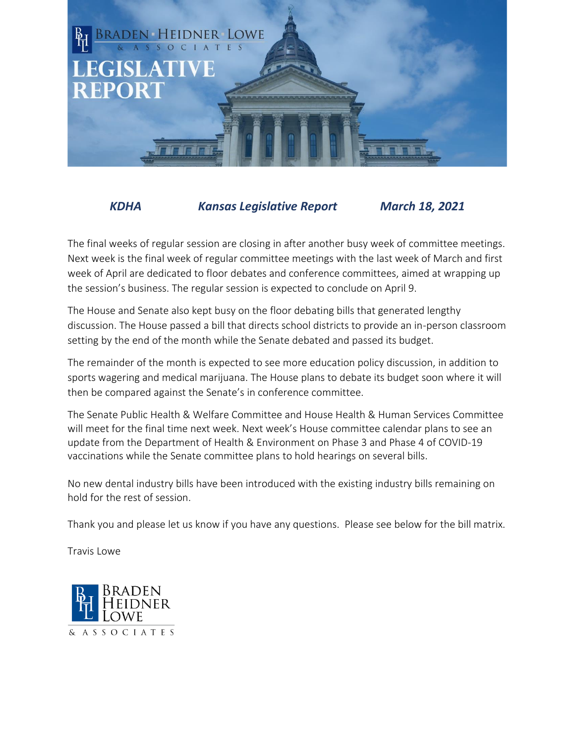

## *KDHA Kansas Legislative Report March 18, 2021*

The final weeks of regular session are closing in after another busy week of committee meetings. Next week is the final week of regular committee meetings with the last week of March and first week of April are dedicated to floor debates and conference committees, aimed at wrapping up the session's business. The regular session is expected to conclude on April 9.

The House and Senate also kept busy on the floor debating bills that generated lengthy discussion. The House passed a bill that directs school districts to provide an in-person classroom setting by the end of the month while the Senate debated and passed its budget.

The remainder of the month is expected to see more education policy discussion, in addition to sports wagering and medical marijuana. The House plans to debate its budget soon where it will then be compared against the Senate's in conference committee.

The Senate Public Health & Welfare Committee and House Health & Human Services Committee will meet for the final time next week. Next week's House committee calendar plans to see an update from the Department of Health & Environment on Phase 3 and Phase 4 of COVID-19 vaccinations while the Senate committee plans to hold hearings on several bills.

No new dental industry bills have been introduced with the existing industry bills remaining on hold for the rest of session.

Thank you and please let us know if you have any questions. Please see below for the bill matrix.

Travis Lowe

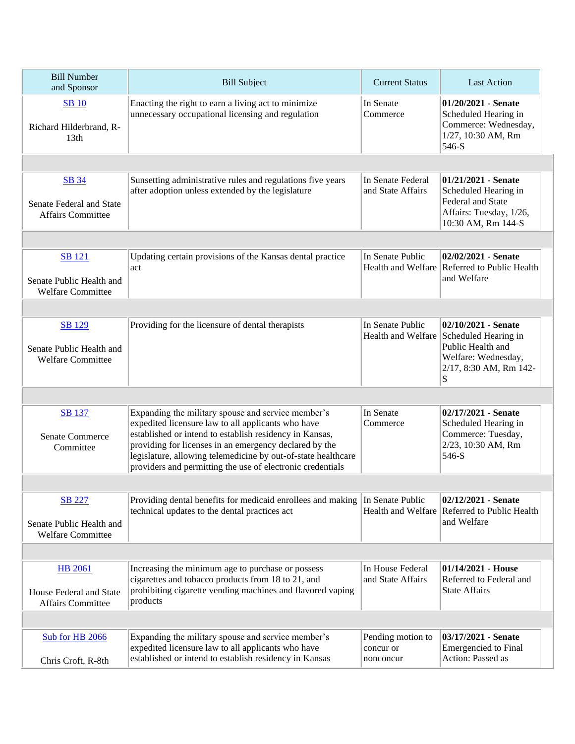| <b>Bill Number</b><br>and Sponsor                                     | <b>Bill Subject</b>                                                                                                                                                                                                                                                                                                                                          | <b>Current Status</b>                       | <b>Last Action</b>                                                                                                                        |  |  |
|-----------------------------------------------------------------------|--------------------------------------------------------------------------------------------------------------------------------------------------------------------------------------------------------------------------------------------------------------------------------------------------------------------------------------------------------------|---------------------------------------------|-------------------------------------------------------------------------------------------------------------------------------------------|--|--|
| <b>SB</b> 10<br>Richard Hilderbrand, R-<br>13 <sub>th</sub>           | Enacting the right to earn a living act to minimize<br>unnecessary occupational licensing and regulation                                                                                                                                                                                                                                                     | In Senate<br>Commerce                       | $01/20/2021$ - Senate<br>Scheduled Hearing in<br>Commerce: Wednesday,<br>1/27, 10:30 AM, Rm<br>546-S                                      |  |  |
|                                                                       |                                                                                                                                                                                                                                                                                                                                                              |                                             |                                                                                                                                           |  |  |
| <b>SB 34</b><br>Senate Federal and State<br><b>Affairs Committee</b>  | Sunsetting administrative rules and regulations five years<br>after adoption unless extended by the legislature                                                                                                                                                                                                                                              | In Senate Federal<br>and State Affairs      | $01/21/2021$ - Senate<br>Scheduled Hearing in<br>Federal and State<br>Affairs: Tuesday, 1/26,<br>10:30 AM, Rm 144-S                       |  |  |
|                                                                       |                                                                                                                                                                                                                                                                                                                                                              |                                             |                                                                                                                                           |  |  |
| <b>SB</b> 121<br>Senate Public Health and<br><b>Welfare Committee</b> | Updating certain provisions of the Kansas dental practice<br>act                                                                                                                                                                                                                                                                                             | In Senate Public                            | 02/02/2021 - Senate<br>Health and Welfare Referred to Public Health<br>and Welfare                                                        |  |  |
|                                                                       |                                                                                                                                                                                                                                                                                                                                                              |                                             |                                                                                                                                           |  |  |
| <b>SB</b> 129<br>Senate Public Health and<br><b>Welfare Committee</b> | Providing for the licensure of dental therapists                                                                                                                                                                                                                                                                                                             | In Senate Public                            | 02/10/2021 - Senate<br>Health and Welfare Scheduled Hearing in<br>Public Health and<br>Welfare: Wednesday,<br>2/17, 8:30 AM, Rm 142-<br>S |  |  |
|                                                                       |                                                                                                                                                                                                                                                                                                                                                              |                                             |                                                                                                                                           |  |  |
| <b>SB</b> 137<br><b>Senate Commerce</b><br>Committee                  | Expanding the military spouse and service member's<br>expedited licensure law to all applicants who have<br>established or intend to establish residency in Kansas,<br>providing for licenses in an emergency declared by the<br>legislature, allowing telemedicine by out-of-state healthcare<br>providers and permitting the use of electronic credentials | In Senate<br>Commerce                       | 02/17/2021 - Senate<br>Scheduled Hearing in<br>Commerce: Tuesday,<br>2/23, 10:30 AM, Rm<br>546-S                                          |  |  |
|                                                                       |                                                                                                                                                                                                                                                                                                                                                              |                                             |                                                                                                                                           |  |  |
| <b>SB</b> 227<br>Senate Public Health and<br>Welfare Committee        | Providing dental benefits for medicaid enrollees and making<br>technical updates to the dental practices act                                                                                                                                                                                                                                                 | In Senate Public                            | 02/12/2021 - Senate<br>Health and Welfare Referred to Public Health<br>and Welfare                                                        |  |  |
|                                                                       |                                                                                                                                                                                                                                                                                                                                                              |                                             |                                                                                                                                           |  |  |
| <b>HB</b> 2061<br>House Federal and State<br><b>Affairs Committee</b> | Increasing the minimum age to purchase or possess<br>cigarettes and tobacco products from 18 to 21, and<br>prohibiting cigarette vending machines and flavored vaping<br>products                                                                                                                                                                            | In House Federal<br>and State Affairs       | $01/14/2021$ - House<br>Referred to Federal and<br><b>State Affairs</b>                                                                   |  |  |
|                                                                       |                                                                                                                                                                                                                                                                                                                                                              |                                             |                                                                                                                                           |  |  |
| Sub for HB 2066<br>Chris Croft, R-8th                                 | Expanding the military spouse and service member's<br>expedited licensure law to all applicants who have<br>established or intend to establish residency in Kansas                                                                                                                                                                                           | Pending motion to<br>concur or<br>nonconcur | 03/17/2021 - Senate<br><b>Emergencied</b> to Final<br>Action: Passed as                                                                   |  |  |